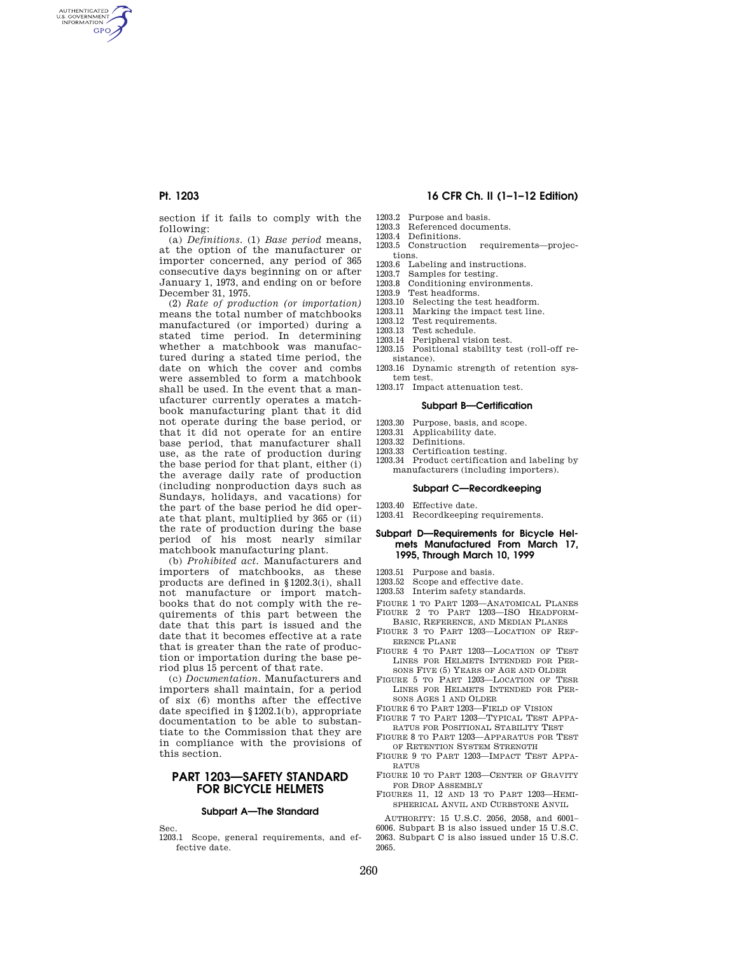AUTHENTICATED<br>U.S. GOVERNMENT<br>INFORMATION **GPO** 

> section if it fails to comply with the following:

> (a) *Definitions.* (1) *Base period* means, at the option of the manufacturer or importer concerned, any period of 365 consecutive days beginning on or after January 1, 1973, and ending on or before December 31, 1975.

> (2) *Rate of production (or importation)*  means the total number of matchbooks manufactured (or imported) during a stated time period. In determining whether a matchbook was manufactured during a stated time period, the date on which the cover and combs were assembled to form a matchbook shall be used. In the event that a manufacturer currently operates a matchbook manufacturing plant that it did not operate during the base period, or that it did not operate for an entire base period, that manufacturer shall use, as the rate of production during the base period for that plant, either (i) the average daily rate of production (including nonproduction days such as Sundays, holidays, and vacations) for the part of the base period he did operate that plant, multiplied by 365 or (ii) the rate of production during the base period of his most nearly similar matchbook manufacturing plant.

> (b) *Prohibited act.* Manufacturers and importers of matchbooks, as these products are defined in §1202.3(i), shall not manufacture or import matchbooks that do not comply with the requirements of this part between the date that this part is issued and the date that it becomes effective at a rate that is greater than the rate of production or importation during the base period plus 15 percent of that rate.

> (c) *Documentation.* Manufacturers and importers shall maintain, for a period of six (6) months after the effective date specified in §1202.1(b), appropriate documentation to be able to substantiate to the Commission that they are in compliance with the provisions of this section.

## **PART 1203—SAFETY STANDARD FOR BICYCLE HELMETS**

### **Subpart A—The Standard**

Sec.

1203.1 Scope, general requirements, and effective date.

## **Pt. 1203 16 CFR Ch. II (1–1–12 Edition)**

- 1203.2 Purpose and basis.
- 1203.3 Referenced documents.
- 1203.4 Definitions.
- 1203.5 Construction requirements—projections.
- 1203.6 Labeling and instructions.
- 1203.7 Samples for testing.<br>1203.8 Conditioning enviror
- Conditioning environments.
- 1203.9 Test headforms.
- 1203.10 Selecting the test headform.<br>1203.11 Marking the impact test line
- Marking the impact test line.
- 1203.12 Test requirements.<br>1203.13 Test schedule. Test schedule.
- 
- 1203.14 Peripheral vision test.<br>1203.15 Positional stability te Positional stability test (roll-off resistance).
- 1203.16 Dynamic strength of retention system test.
- 1203.17 Impact attenuation test.

### **Subpart B—Certification**

- 1203.30 Purpose, basis, and scope.<br>1203.31 Applicability date.
- 1203.31 Applicability date.<br>1203.32 Definitions.
- Definitions.
- 1203.33 Certification testing.
- 1203.34 Product certification and labeling by manufacturers (including importers).

## **Subpart C—Recordkeeping**

- 1203.40 Effective date.
- 1203.41 Recordkeeping requirements.

## **Subpart D—Requirements for Bicycle Helmets Manufactured From March 17, 1995, Through March 10, 1999**

- 1203.51 Purpose and basis.
- 1203.52 Scope and effective date.
- 1203.53 Interim safety standards.
- 
- FIGURE 1 TO PART 1203—ANATOMICAL PLANES FIGURE 2 TO PART 1203—ISO HEADFORM-BASIC, REFERENCE, AND MEDIAN PLANES
- FIGURE 3 TO PART 1203—LOCATION OF REF-ERENCE PLANE
- FIGURE 4 TO PART 1203—LOCATION OF TEST LINES FOR HELMETS INTENDED FOR PER-SONS FIVE (5) YEARS OF AGE AND OLDER
- FIGURE 5 TO PART 1203—LOCATION OF TESR LINES FOR HELMETS INTENDED FOR PER-SONS AGES 1 AND OLDER
- FIGURE 6 TO PART 1203—FIELD OF VISION
- FIGURE 7 TO PART 1203—TYPICAL TEST APPA-RATUS FOR POSITIONAL STABILITY TEST
- FIGURE 8 TO PART 1203—APPARATUS FOR TEST OF RETENTION SYSTEM STRENGTH
- FIGURE 9 TO PART 1203—IMPACT TEST APPA-RATUS
- FIGURE 10 TO PART 1203—CENTER OF GRAVITY FOR DROP ASSEMBLY
- FIGURES 11, 12 AND 13 TO PART 1203—HEMI-SPHERICAL ANVIL AND CURBSTONE ANVIL

AUTHORITY: 15 U.S.C. 2056, 2058, and 6001– 6006. Subpart B is also issued under 15 U.S.C. 2063. Subpart C is also issued under 15 U.S.C. 2065.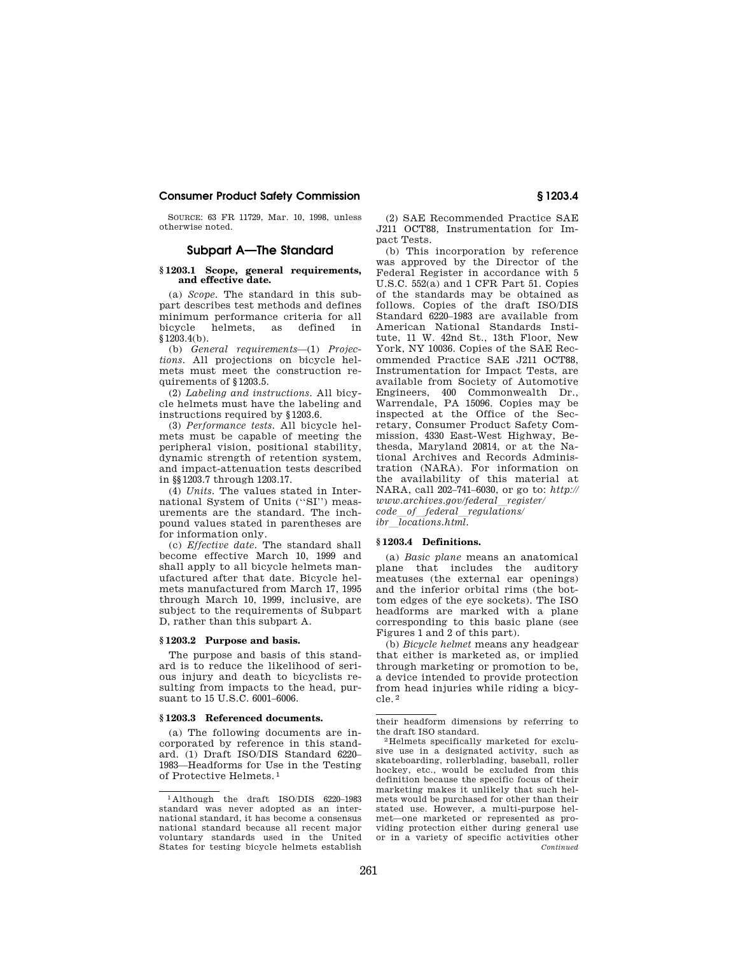SOURCE: 63 FR 11729, Mar. 10, 1998, unless otherwise noted.

## **Subpart A—The Standard**

## **§ 1203.1 Scope, general requirements, and effective date.**

(a) *Scope.* The standard in this subpart describes test methods and defines minimum performance criteria for all bicycle helmets, as defined  $$1203.4(b).$ 

(b) *General requirements*—(1) *Projections.* All projections on bicycle helmets must meet the construction requirements of §1203.5.

(2) *Labeling and instructions.* All bicycle helmets must have the labeling and instructions required by §1203.6.

(3) *Performance tests.* All bicycle helmets must be capable of meeting the peripheral vision, positional stability, dynamic strength of retention system, and impact-attenuation tests described in §§1203.7 through 1203.17.

(4) *Units.* The values stated in International System of Units (''SI'') measurements are the standard. The inchpound values stated in parentheses are for information only.

(c) *Effective date.* The standard shall become effective March 10, 1999 and shall apply to all bicycle helmets manufactured after that date. Bicycle helmets manufactured from March 17, 1995 through March 10, 1999, inclusive, are subject to the requirements of Subpart D, rather than this subpart A.

### **§ 1203.2 Purpose and basis.**

The purpose and basis of this standard is to reduce the likelihood of serious injury and death to bicyclists resulting from impacts to the head, pursuant to 15 U.S.C. 6001–6006.

### **§ 1203.3 Referenced documents.**

(a) The following documents are incorporated by reference in this standard. (1) Draft ISO/DIS Standard 6220– 1983—Headforms for Use in the Testing of Protective Helmets. 1

(2) SAE Recommended Practice SAE J211 OCT88, Instrumentation for Impact Tests.

(b) This incorporation by reference was approved by the Director of the Federal Register in accordance with 5 U.S.C. 552(a) and 1 CFR Part 51. Copies of the standards may be obtained as follows. Copies of the draft ISO/DIS Standard 6220–1983 are available from American National Standards Institute, 11 W. 42nd St., 13th Floor, New York, NY 10036. Copies of the SAE Recommended Practice SAE J211 OCT88, Instrumentation for Impact Tests, are available from Society of Automotive Engineers, 400 Commonwealth Dr., Warrendale, PA 15096. Copies may be inspected at the Office of the Secretary, Consumer Product Safety Commission, 4330 East-West Highway, Bethesda, Maryland 20814, or at the National Archives and Records Administration (NARA). For information on the availability of this material at NARA, call 202–741–6030, or go to: *http://*   $www.archive.gov/federal\_register/$ *code*l*of*l*federal*l*regulations/ ibr*l*locations.html.* 

### **§ 1203.4 Definitions.**

(a) *Basic plane* means an anatomical plane that includes the auditory meatuses (the external ear openings) and the inferior orbital rims (the bottom edges of the eye sockets). The ISO headforms are marked with a plane corresponding to this basic plane (see Figures 1 and 2 of this part).

(b) *Bicycle helmet* means any headgear that either is marketed as, or implied through marketing or promotion to be, a device intended to provide protection from head injuries while riding a bicycle. 2

their headform dimensions by referring to

<sup>2</sup>Helmets specifically marketed for exclusive use in a designated activity, such as skateboarding, rollerblading, baseball, roller hockey, etc., would be excluded from this definition because the specific focus of their marketing makes it unlikely that such helmets would be purchased for other than their stated use. However, a multi-purpose helmet—one marketed or represented as providing protection either during general use or in a variety of specific activities other *Continued* 

<sup>1</sup> Although the draft ISO/DIS 6220–1983 standard was never adopted as an international standard, it has become a consensus national standard because all recent major voluntary standards used in the United States for testing bicycle helmets establish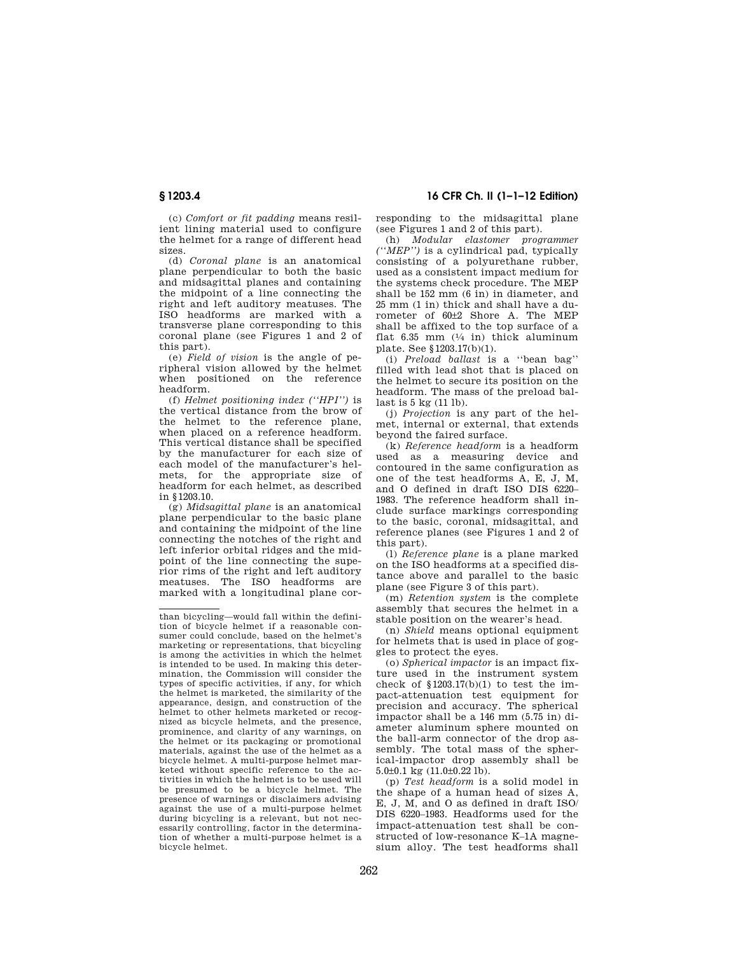**§ 1203.4 16 CFR Ch. II (1–1–12 Edition)** 

(c) *Comfort or fit padding* means resilient lining material used to configure the helmet for a range of different head sizes.

(d) *Coronal plane* is an anatomical plane perpendicular to both the basic and midsagittal planes and containing the midpoint of a line connecting the right and left auditory meatuses. The ISO headforms are marked with a transverse plane corresponding to this coronal plane (see Figures 1 and 2 of this part).

(e) *Field of vision* is the angle of peripheral vision allowed by the helmet when positioned on the reference headform.

(f) *Helmet positioning index (''HPI'')* is the vertical distance from the brow of the helmet to the reference plane, when placed on a reference headform. This vertical distance shall be specified by the manufacturer for each size of each model of the manufacturer's helmets, for the appropriate size of headform for each helmet, as described in §1203.10.

(g) *Midsagittal plane* is an anatomical plane perpendicular to the basic plane and containing the midpoint of the line connecting the notches of the right and left inferior orbital ridges and the midpoint of the line connecting the superior rims of the right and left auditory meatuses. The ISO headforms are marked with a longitudinal plane corresponding to the midsagittal plane (see Figures 1 and 2 of this part).

(h) *Modular elastomer programmer (''MEP'')* is a cylindrical pad, typically consisting of a polyurethane rubber, used as a consistent impact medium for the systems check procedure. The MEP shall be 152 mm (6 in) in diameter, and 25 mm (1 in) thick and shall have a durometer of 60±2 Shore A. The MEP shall be affixed to the top surface of a flat 6.35 mm  $(1/4$  in) thick aluminum plate. See §1203.17(b)(1).

(i) *Preload ballast* is a ''bean bag'' filled with lead shot that is placed on the helmet to secure its position on the headform. The mass of the preload ballast is 5 kg (11 lb).

(j) *Projection* is any part of the helmet, internal or external, that extends beyond the faired surface.

(k) *Reference headform* is a headform used as a measuring device and contoured in the same configuration as one of the test headforms A, E, J, M, and O defined in draft ISO DIS 6220– 1983. The reference headform shall include surface markings corresponding to the basic, coronal, midsagittal, and reference planes (see Figures 1 and 2 of this part).

(l) *Reference plane* is a plane marked on the ISO headforms at a specified distance above and parallel to the basic plane (see Figure 3 of this part).

(m) *Retention system* is the complete assembly that secures the helmet in a stable position on the wearer's head.

(n) *Shield* means optional equipment for helmets that is used in place of goggles to protect the eyes.

(o) *Spherical impactor* is an impact fixture used in the instrument system check of  $$1203.17(b)(1)$  to test the impact-attenuation test equipment for precision and accuracy. The spherical impactor shall be a 146 mm (5.75 in) diameter aluminum sphere mounted on the ball-arm connector of the drop assembly. The total mass of the spherical-impactor drop assembly shall be  $5.0\pm0.1$  kg  $(11.0\pm0.22$  lb).

(p) *Test headform* is a solid model in the shape of a human head of sizes A, E, J, M, and O as defined in draft ISO/ DIS 6220–1983. Headforms used for the impact-attenuation test shall be constructed of low-resonance K–1A magnesium alloy. The test headforms shall

than bicycling—would fall within the definition of bicycle helmet if a reasonable consumer could conclude, based on the helmet's marketing or representations, that bicycling is among the activities in which the helmet is intended to be used. In making this determination, the Commission will consider the types of specific activities, if any, for which the helmet is marketed, the similarity of the appearance, design, and construction of the helmet to other helmets marketed or recognized as bicycle helmets, and the presence, prominence, and clarity of any warnings, on the helmet or its packaging or promotional materials, against the use of the helmet as a bicycle helmet. A multi-purpose helmet marketed without specific reference to the activities in which the helmet is to be used will be presumed to be a bicycle helmet. The presence of warnings or disclaimers advising against the use of a multi-purpose helmet during bicycling is a relevant, but not necessarily controlling, factor in the determination of whether a multi-purpose helmet is a bicycle helmet.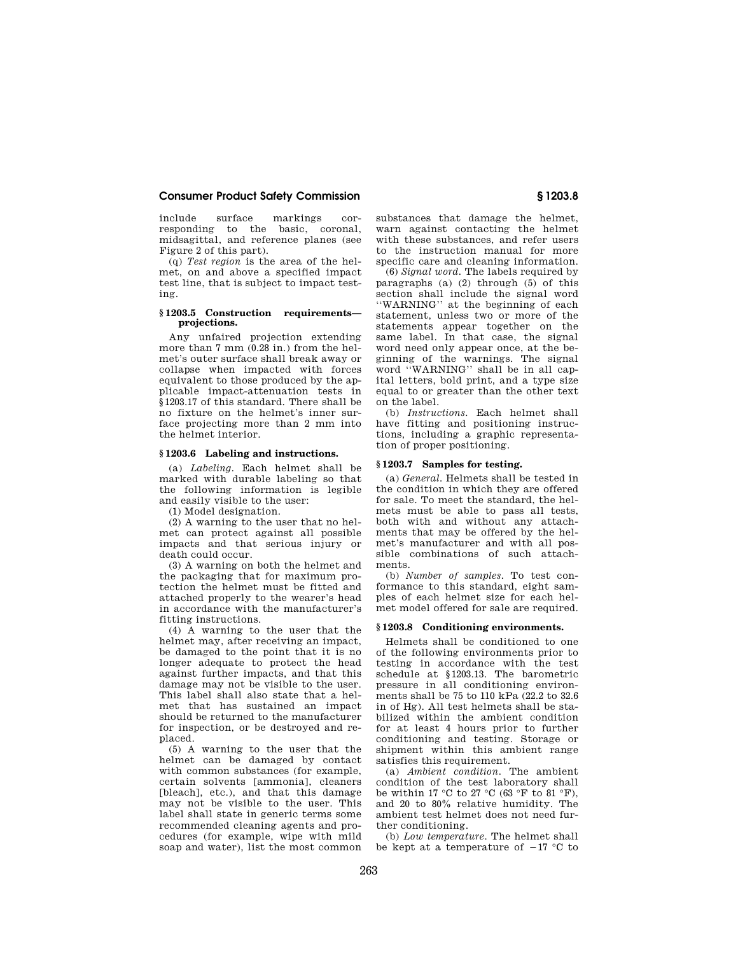include surface markings corresponding to the basic, coronal, midsagittal, and reference planes (see Figure 2 of this part).

(q) *Test region* is the area of the helmet, on and above a specified impact test line, that is subject to impact testing.

## **§ 1203.5 Construction requirements projections.**

Any unfaired projection extending more than 7 mm (0.28 in.) from the helmet's outer surface shall break away or collapse when impacted with forces equivalent to those produced by the applicable impact-attenuation tests in §1203.17 of this standard. There shall be no fixture on the helmet's inner surface projecting more than 2 mm into the helmet interior.

### **§ 1203.6 Labeling and instructions.**

(a) *Labeling.* Each helmet shall be marked with durable labeling so that the following information is legible and easily visible to the user:

(1) Model designation.

(2) A warning to the user that no helmet can protect against all possible impacts and that serious injury or death could occur.

(3) A warning on both the helmet and the packaging that for maximum protection the helmet must be fitted and attached properly to the wearer's head in accordance with the manufacturer's fitting instructions.

(4) A warning to the user that the helmet may, after receiving an impact, be damaged to the point that it is no longer adequate to protect the head against further impacts, and that this damage may not be visible to the user. This label shall also state that a helmet that has sustained an impact should be returned to the manufacturer for inspection, or be destroyed and replaced.

(5) A warning to the user that the helmet can be damaged by contact with common substances (for example, certain solvents [ammonia], cleaners [bleach], etc.), and that this damage may not be visible to the user. This label shall state in generic terms some recommended cleaning agents and procedures (for example, wipe with mild soap and water), list the most common

substances that damage the helmet, warn against contacting the helmet with these substances, and refer users to the instruction manual for more specific care and cleaning information.

(6) *Signal word.* The labels required by paragraphs (a)  $(2)$  through  $(5)$  of this section shall include the signal word ''WARNING'' at the beginning of each statement, unless two or more of the statements appear together on the same label. In that case, the signal word need only appear once, at the beginning of the warnings. The signal word ''WARNING'' shall be in all capital letters, bold print, and a type size equal to or greater than the other text on the label.

(b) *Instructions.* Each helmet shall have fitting and positioning instructions, including a graphic representation of proper positioning.

## **§ 1203.7 Samples for testing.**

(a) *General.* Helmets shall be tested in the condition in which they are offered for sale. To meet the standard, the helmets must be able to pass all tests, both with and without any attachments that may be offered by the helmet's manufacturer and with all possible combinations of such attachments.

(b) *Number of samples.* To test conformance to this standard, eight samples of each helmet size for each helmet model offered for sale are required.

## **§ 1203.8 Conditioning environments.**

Helmets shall be conditioned to one of the following environments prior to testing in accordance with the test schedule at §1203.13. The barometric pressure in all conditioning environments shall be 75 to 110 kPa (22.2 to 32.6 in of Hg). All test helmets shall be stabilized within the ambient condition for at least 4 hours prior to further conditioning and testing. Storage or shipment within this ambient range satisfies this requirement.

(a) *Ambient condition.* The ambient condition of the test laboratory shall be within 17  $^{\circ}\mathrm{C}$  to 27  $^{\circ}\mathrm{C}$  (63  $^{\circ}\mathrm{F}$  to 81  $^{\circ}\mathrm{F}),$ and 20 to 80% relative humidity. The ambient test helmet does not need further conditioning.

(b) *Low temperature.* The helmet shall be kept at a temperature of  $-17$  °C to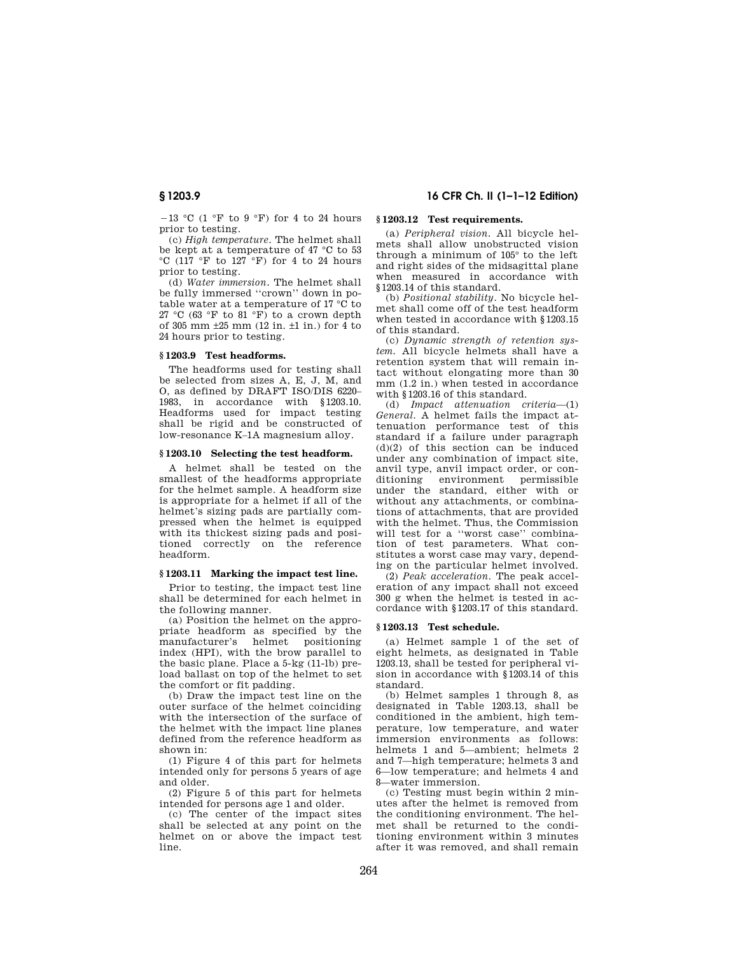$-13$  °C (1 °F to 9 °F) for 4 to 24 hours prior to testing.

(c) *High temperature.* The helmet shall be kept at a temperature of 47 °C to 53  $°C$  (117 °F to 127 °F) for 4 to 24 hours prior to testing.

(d) *Water immersion.* The helmet shall be fully immersed ''crown'' down in potable water at a temperature of 17 °C to 27 °C (63 °F to 81 °F) to a crown depth of 305 mm ±25 mm (12 in. ±1 in.) for 4 to 24 hours prior to testing.

## **§ 1203.9 Test headforms.**

The headforms used for testing shall be selected from sizes A, E, J, M, and O, as defined by DRAFT ISO/DIS 6220– 1983, in accordance with §1203.10. Headforms used for impact testing shall be rigid and be constructed of low-resonance K–1A magnesium alloy.

### **§ 1203.10 Selecting the test headform.**

A helmet shall be tested on the smallest of the headforms appropriate for the helmet sample. A headform size is appropriate for a helmet if all of the helmet's sizing pads are partially compressed when the helmet is equipped with its thickest sizing pads and positioned correctly on the reference headform.

## **§ 1203.11 Marking the impact test line.**

Prior to testing, the impact test line shall be determined for each helmet in the following manner.

(a) Position the helmet on the appropriate headform as specified by the<br>manufacturer's helmet positioning manufacturer's helmet index (HPI), with the brow parallel to the basic plane. Place a 5-kg (11-lb) preload ballast on top of the helmet to set the comfort or fit padding.

(b) Draw the impact test line on the outer surface of the helmet coinciding with the intersection of the surface of the helmet with the impact line planes defined from the reference headform as shown in:

(1) Figure 4 of this part for helmets intended only for persons 5 years of age and older.

(2) Figure 5 of this part for helmets intended for persons age 1 and older.

(c) The center of the impact sites shall be selected at any point on the helmet on or above the impact test line.

## **§ 1203.9 16 CFR Ch. II (1–1–12 Edition)**

## **§ 1203.12 Test requirements.**

(a) *Peripheral vision.* All bicycle helmets shall allow unobstructed vision through a minimum of 105° to the left and right sides of the midsagittal plane when measured in accordance with §1203.14 of this standard.

(b) *Positional stability.* No bicycle helmet shall come off of the test headform when tested in accordance with §1203.15 of this standard.

(c) *Dynamic strength of retention system.* All bicycle helmets shall have a retention system that will remain intact without elongating more than 30 mm (1.2 in.) when tested in accordance with §1203.16 of this standard.

(d) *Impact attenuation criteria*—(1) *General.* A helmet fails the impact attenuation performance test of this standard if a failure under paragraph  $(d)(2)$  of this section can be induced under any combination of impact site, anvil type, anvil impact order, or conditioning environment permissible under the standard, either with or without any attachments, or combinations of attachments, that are provided with the helmet. Thus, the Commission will test for a ''worst case'' combination of test parameters. What constitutes a worst case may vary, depending on the particular helmet involved.

(2) *Peak acceleration.* The peak acceleration of any impact shall not exceed 300 g when the helmet is tested in accordance with §1203.17 of this standard.

## **§ 1203.13 Test schedule.**

(a) Helmet sample 1 of the set of eight helmets, as designated in Table 1203.13, shall be tested for peripheral vision in accordance with §1203.14 of this standard.

(b) Helmet samples 1 through 8, as designated in Table 1203.13, shall be conditioned in the ambient, high temperature, low temperature, and water immersion environments as follows: helmets 1 and 5—ambient; helmets 2 and 7—high temperature; helmets 3 and 6—low temperature; and helmets 4 and 8—water immersion.

(c) Testing must begin within 2 minutes after the helmet is removed from the conditioning environment. The helmet shall be returned to the conditioning environment within 3 minutes after it was removed, and shall remain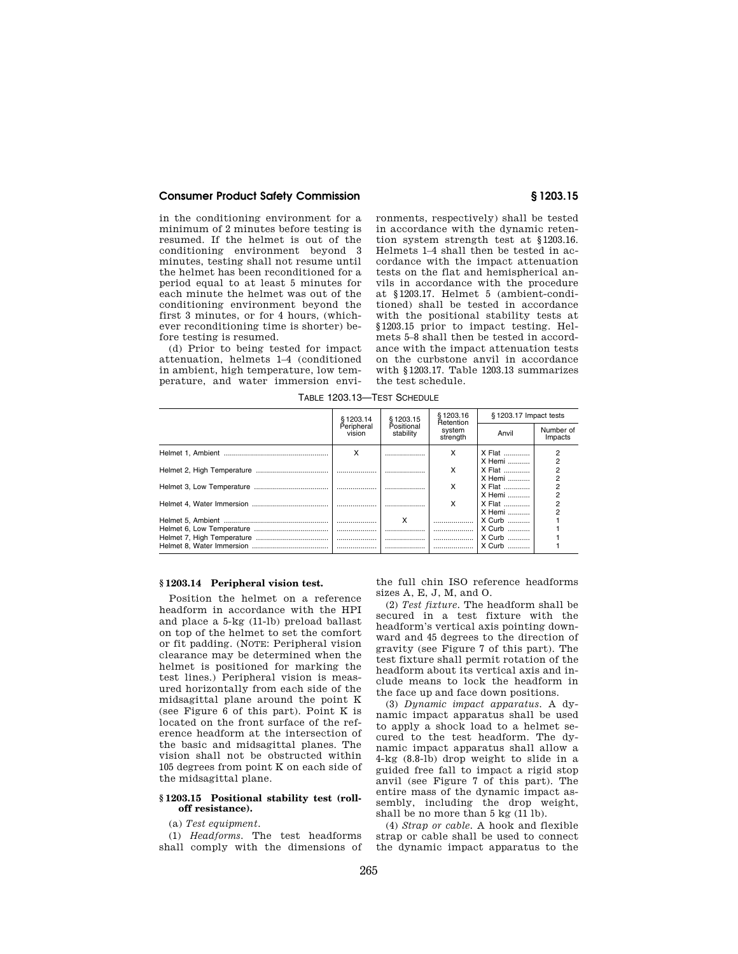in the conditioning environment for a minimum of 2 minutes before testing is resumed. If the helmet is out of the conditioning environment beyond 3 minutes, testing shall not resume until the helmet has been reconditioned for a period equal to at least 5 minutes for each minute the helmet was out of the conditioning environment beyond the first 3 minutes, or for 4 hours, (whichever reconditioning time is shorter) before testing is resumed.

(d) Prior to being tested for impact attenuation, helmets 1–4 (conditioned in ambient, high temperature, low temperature, and water immersion environments, respectively) shall be tested in accordance with the dynamic retention system strength test at §1203.16. Helmets 1–4 shall then be tested in accordance with the impact attenuation tests on the flat and hemispherical anvils in accordance with the procedure at §1203.17. Helmet 5 (ambient-conditioned) shall be tested in accordance with the positional stability tests at §1203.15 prior to impact testing. Helmets 5–8 shall then be tested in accordance with the impact attenuation tests on the curbstone anvil in accordance with §1203.17. Table 1203.13 summarizes the test schedule.

TABLE 1203.13—TEST SCHEDULE

| §1203.14             | §1203.15                | \$1203.16<br>Retention<br>system<br>strength | §1203.17 Impact tests      |                                                    |
|----------------------|-------------------------|----------------------------------------------|----------------------------|----------------------------------------------------|
| Peripheral<br>vision | Positional<br>stability |                                              | Anvil                      | Number of<br>Impacts                               |
| x                    |                         | x                                            | X Flat                     | $\overline{2}$                                     |
|                      |                         | x                                            | X Hemi<br>X Flat<br>X Hemi | $\overline{c}$<br>$\overline{2}$<br>$\overline{2}$ |
|                      |                         | x                                            | <b>X Flat</b><br>X Hemi    | $\overline{2}$<br>$\overline{2}$                   |
|                      |                         | x                                            | X Flat<br>X Hemi           | $\overline{2}$<br>$\overline{2}$                   |
|                      | x                       |                                              | $X$ Curb                   |                                                    |
|                      |                         |                                              | $X$ Curb                   |                                                    |
|                      |                         |                                              | X Curb                     |                                                    |
|                      |                         |                                              | $X$ Curb                   |                                                    |

## **§ 1203.14 Peripheral vision test.**

Position the helmet on a reference headform in accordance with the HPI and place a 5-kg (11-lb) preload ballast on top of the helmet to set the comfort or fit padding. (NOTE: Peripheral vision clearance may be determined when the helmet is positioned for marking the test lines.) Peripheral vision is measured horizontally from each side of the midsagittal plane around the point K (see Figure 6 of this part). Point K is located on the front surface of the reference headform at the intersection of the basic and midsagittal planes. The vision shall not be obstructed within 105 degrees from point K on each side of the midsagittal plane.

### **§ 1203.15 Positional stability test (rolloff resistance).**

(a) *Test equipment*.

(1) *Headforms.* The test headforms shall comply with the dimensions of

the full chin ISO reference headforms sizes A, E, J, M, and O.

(2) *Test fixture.* The headform shall be secured in a test fixture with the headform's vertical axis pointing downward and 45 degrees to the direction of gravity (see Figure 7 of this part). The test fixture shall permit rotation of the headform about its vertical axis and include means to lock the headform in the face up and face down positions.

(3) *Dynamic impact apparatus.* A dynamic impact apparatus shall be used to apply a shock load to a helmet secured to the test headform. The dynamic impact apparatus shall allow a 4-kg (8.8-lb) drop weight to slide in a guided free fall to impact a rigid stop anvil (see Figure 7 of this part). The entire mass of the dynamic impact assembly, including the drop weight, shall be no more than 5 kg (11 lb).

(4) *Strap or cable.* A hook and flexible strap or cable shall be used to connect the dynamic impact apparatus to the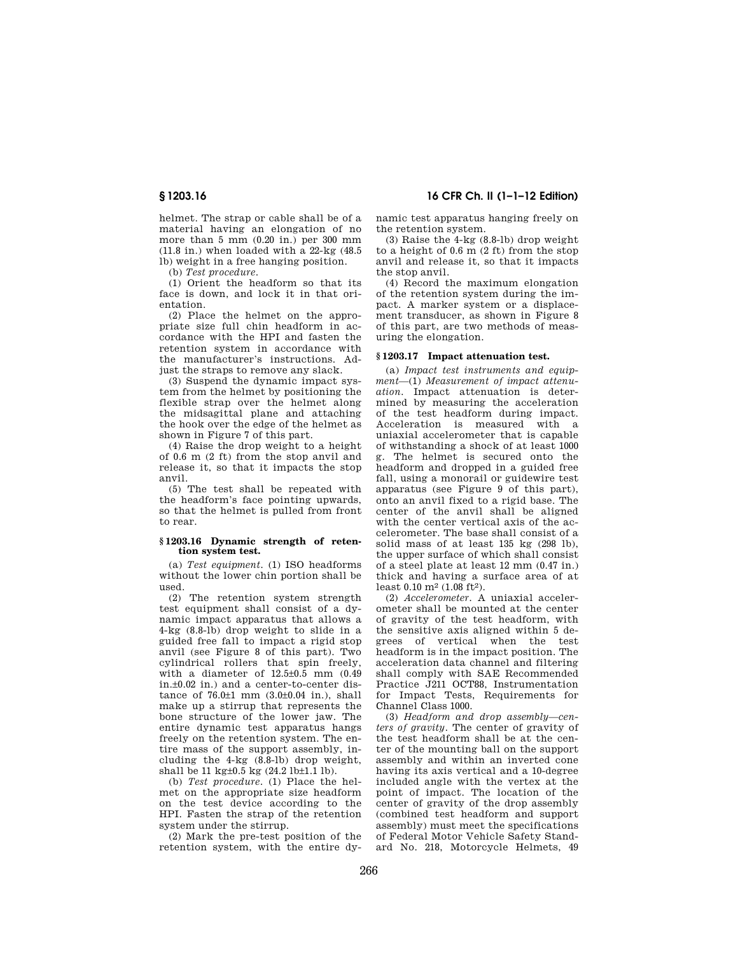helmet. The strap or cable shall be of a material having an elongation of no more than  $5 \text{ mm}$  (0.20 in.) per 300 mm (11.8 in.) when loaded with a 22-kg (48.5 lb) weight in a free hanging position.

(b) *Test procedure*.

(1) Orient the headform so that its face is down, and lock it in that orientation.

(2) Place the helmet on the appropriate size full chin headform in accordance with the HPI and fasten the retention system in accordance with the manufacturer's instructions. Adjust the straps to remove any slack.

(3) Suspend the dynamic impact system from the helmet by positioning the flexible strap over the helmet along the midsagittal plane and attaching the hook over the edge of the helmet as shown in Figure 7 of this part.

(4) Raise the drop weight to a height of 0.6 m (2 ft) from the stop anvil and release it, so that it impacts the stop anvil.

(5) The test shall be repeated with the headform's face pointing upwards, so that the helmet is pulled from front to rear.

## **§ 1203.16 Dynamic strength of retention system test.**

(a) *Test equipment.* (1) ISO headforms without the lower chin portion shall be used.

(2) The retention system strength test equipment shall consist of a dynamic impact apparatus that allows a 4-kg (8.8-lb) drop weight to slide in a guided free fall to impact a rigid stop anvil (see Figure 8 of this part). Two cylindrical rollers that spin freely, with a diameter of  $12.5\pm0.5$  mm  $(0.49)$ in.±0.02 in.) and a center-to-center distance of 76.0±1 mm (3.0±0.04 in.), shall make up a stirrup that represents the bone structure of the lower jaw. The entire dynamic test apparatus hangs freely on the retention system. The entire mass of the support assembly, including the 4-kg (8.8-lb) drop weight, shall be 11 kg±0.5 kg (24.2 lb±1.1 lb).

(b) *Test procedure.* (1) Place the helmet on the appropriate size headform on the test device according to the HPI. Fasten the strap of the retention system under the stirrup.

(2) Mark the pre-test position of the retention system, with the entire dy-

**§ 1203.16 16 CFR Ch. II (1–1–12 Edition)** 

namic test apparatus hanging freely on the retention system.

(3) Raise the 4-kg (8.8-lb) drop weight to a height of 0.6 m (2 ft) from the stop anvil and release it, so that it impacts the stop anvil.

(4) Record the maximum elongation of the retention system during the impact. A marker system or a displacement transducer, as shown in Figure 8 of this part, are two methods of measuring the elongation.

## **§ 1203.17 Impact attenuation test.**

(a) *Impact test instruments and equipment*—(1) *Measurement of impact attenuation.* Impact attenuation is determined by measuring the acceleration of the test headform during impact. Acceleration is measured with a uniaxial accelerometer that is capable of withstanding a shock of at least 1000 g. The helmet is secured onto the headform and dropped in a guided free fall, using a monorail or guidewire test apparatus (see Figure 9 of this part), onto an anvil fixed to a rigid base. The center of the anvil shall be aligned with the center vertical axis of the accelerometer. The base shall consist of a solid mass of at least 135 kg (298 lb), the upper surface of which shall consist of a steel plate at least 12 mm (0.47 in.) thick and having a surface area of at least 0.10 m2 (1.08 ft2).

(2) *Accelerometer.* A uniaxial accelerometer shall be mounted at the center of gravity of the test headform, with the sensitive axis aligned within 5 degrees of vertical when the test headform is in the impact position. The acceleration data channel and filtering shall comply with SAE Recommended Practice J211 OCT88, Instrumentation for Impact Tests, Requirements for Channel Class 1000.

(3) *Headform and drop assembly—centers of gravity.* The center of gravity of the test headform shall be at the center of the mounting ball on the support assembly and within an inverted cone having its axis vertical and a 10-degree included angle with the vertex at the point of impact. The location of the center of gravity of the drop assembly (combined test headform and support assembly) must meet the specifications of Federal Motor Vehicle Safety Standard No. 218, Motorcycle Helmets, 49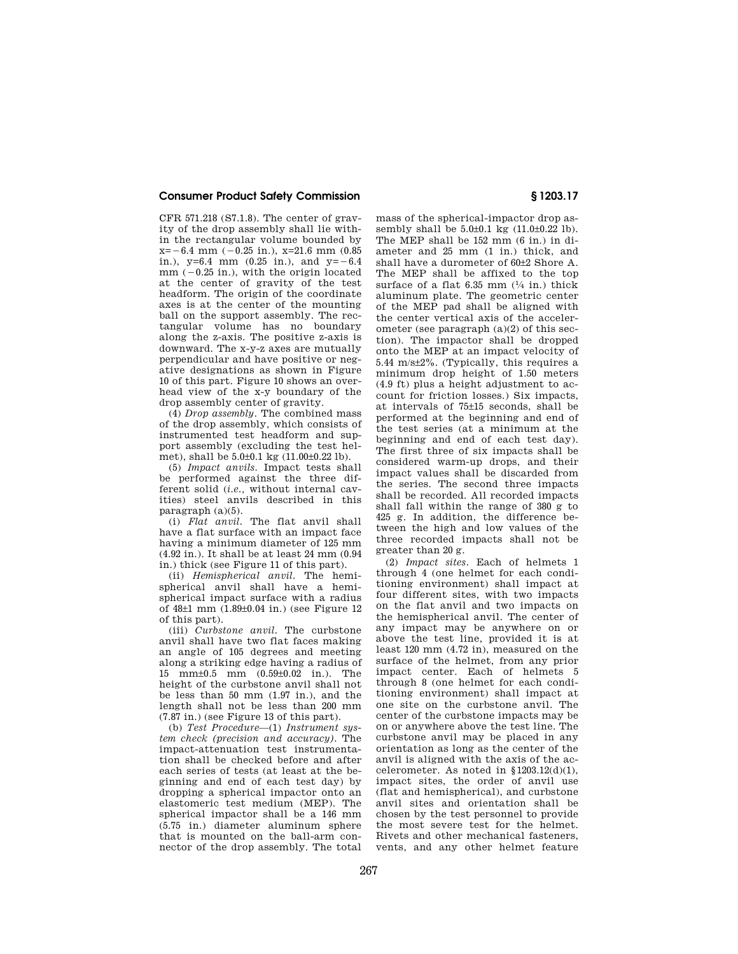CFR 571.218 (S7.1.8). The center of gravity of the drop assembly shall lie within the rectangular volume bounded by  $x=-6.4$  mm  $(-0.25$  in.),  $x=21.6$  mm  $(0.85)$ in.),  $v=6.4$  mm  $(0.25$  in.), and  $v=-6.4$  $mm$  ( $-0.25$  in.), with the origin located at the center of gravity of the test headform. The origin of the coordinate axes is at the center of the mounting ball on the support assembly. The rectangular volume has no boundary along the z-axis. The positive z-axis is downward. The x-y-z axes are mutually perpendicular and have positive or negative designations as shown in Figure 10 of this part. Figure 10 shows an overhead view of the x-y boundary of the drop assembly center of gravity.

(4) *Drop assembly.* The combined mass of the drop assembly, which consists of instrumented test headform and support assembly (excluding the test helmet), shall be 5.0±0.1 kg (11.00±0.22 lb).

(5) *Impact anvils.* Impact tests shall be performed against the three different solid (*i.e.,* without internal cavities) steel anvils described in this paragraph (a)(5).

(i) *Flat anvil.* The flat anvil shall have a flat surface with an impact face having a minimum diameter of 125 mm (4.92 in.). It shall be at least 24 mm (0.94 in.) thick (see Figure 11 of this part).

(ii) *Hemispherical anvil.* The hemispherical anvil shall have a hemispherical impact surface with a radius of 48±1 mm (1.89±0.04 in.) (see Figure 12 of this part).

(iii) *Curbstone anvil.* The curbstone anvil shall have two flat faces making an angle of 105 degrees and meeting along a striking edge having a radius of 15 mm±0.5 mm (0.59±0.02 in.). The height of the curbstone anvil shall not be less than 50 mm  $(1.97 \text{ in.})$ , and the length shall not be less than 200 mm (7.87 in.) (see Figure 13 of this part).

(b) *Test Procedure*—(1) *Instrument system check (precision and accuracy).* The impact-attenuation test instrumentation shall be checked before and after each series of tests (at least at the beginning and end of each test day) by dropping a spherical impactor onto an elastomeric test medium (MEP). The spherical impactor shall be a 146 mm  $(5.75 \text{ in})$  diameter aluminum sphere that is mounted on the ball-arm connector of the drop assembly. The total

mass of the spherical-impactor drop assembly shall be  $5.0\pm0.1$  kg  $(11.0\pm0.22)$  lb). The MEP shall be 152 mm (6 in.) in diameter and 25 mm (1 in.) thick, and shall have a durometer of 60±2 Shore A. The MEP shall be affixed to the top surface of a flat  $6.35$  mm  $(1/4)$  in.) thick aluminum plate. The geometric center of the MEP pad shall be aligned with the center vertical axis of the accelerometer (see paragraph (a)(2) of this section). The impactor shall be dropped onto the MEP at an impact velocity of 5.44 m/s±2%. (Typically, this requires a minimum drop height of 1.50 meters (4.9 ft) plus a height adjustment to account for friction losses.) Six impacts, at intervals of 75±15 seconds, shall be performed at the beginning and end of the test series (at a minimum at the beginning and end of each test day). The first three of six impacts shall be considered warm-up drops, and their impact values shall be discarded from the series. The second three impacts shall be recorded. All recorded impacts shall fall within the range of 380 g to 425 g. In addition, the difference between the high and low values of the three recorded impacts shall not be greater than 20 g.

(2) *Impact sites.* Each of helmets 1 through 4 (one helmet for each conditioning environment) shall impact at four different sites, with two impacts on the flat anvil and two impacts on the hemispherical anvil. The center of any impact may be anywhere on or above the test line, provided it is at least 120 mm (4.72 in), measured on the surface of the helmet, from any prior impact center. Each of helmets 5 through 8 (one helmet for each conditioning environment) shall impact at one site on the curbstone anvil. The center of the curbstone impacts may be on or anywhere above the test line. The curbstone anvil may be placed in any orientation as long as the center of the anvil is aligned with the axis of the accelerometer. As noted in  $$1203.12(d)(1)$ , impact sites, the order of anvil use (flat and hemispherical), and curbstone anvil sites and orientation shall be chosen by the test personnel to provide the most severe test for the helmet. Rivets and other mechanical fasteners, vents, and any other helmet feature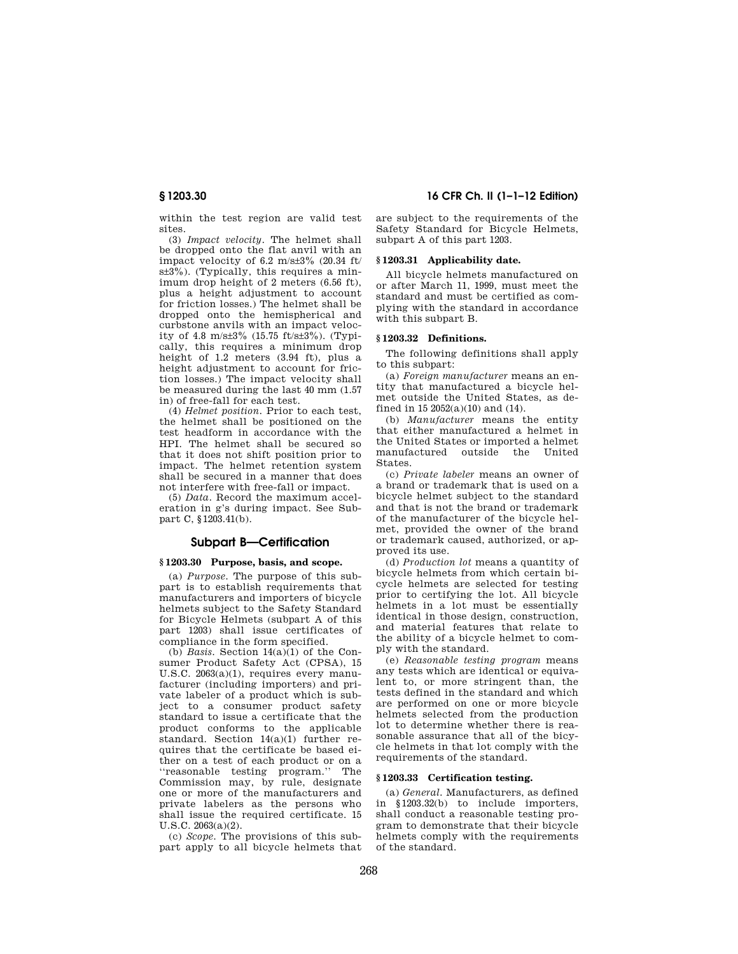within the test region are valid test sites.

(3) *Impact velocity.* The helmet shall be dropped onto the flat anvil with an impact velocity of 6.2 m/s $\pm 3\%$  (20.34 ft/ s±3%). (Typically, this requires a minimum drop height of 2 meters (6.56 ft), plus a height adjustment to account for friction losses.) The helmet shall be dropped onto the hemispherical and curbstone anvils with an impact velocity of 4.8 m/s±3% (15.75 ft/s±3%). (Typically, this requires a minimum drop height of 1.2 meters (3.94 ft), plus a height adjustment to account for friction losses.) The impact velocity shall be measured during the last 40 mm (1.57 in) of free-fall for each test.

(4) *Helmet position.* Prior to each test, the helmet shall be positioned on the test headform in accordance with the HPI. The helmet shall be secured so that it does not shift position prior to impact. The helmet retention system shall be secured in a manner that does not interfere with free-fall or impact.

(5) *Data.* Record the maximum acceleration in g's during impact. See Subpart C, §1203.41(b).

## **Subpart B—Certification**

## **§ 1203.30 Purpose, basis, and scope.**

(a) *Purpose.* The purpose of this subpart is to establish requirements that manufacturers and importers of bicycle helmets subject to the Safety Standard for Bicycle Helmets (subpart A of this part 1203) shall issue certificates of compliance in the form specified.

(b) *Basis.* Section 14(a)(1) of the Consumer Product Safety Act (CPSA), 15 U.S.C. 2063(a)(1), requires every manufacturer (including importers) and private labeler of a product which is subject to a consumer product safety standard to issue a certificate that the product conforms to the applicable standard. Section 14(a)(1) further requires that the certificate be based either on a test of each product or on a ''reasonable testing program.'' The Commission may, by rule, designate one or more of the manufacturers and private labelers as the persons who shall issue the required certificate. 15 U.S.C. 2063(a)(2).

(c) *Scope.* The provisions of this subpart apply to all bicycle helmets that

**§ 1203.30 16 CFR Ch. II (1–1–12 Edition)** 

are subject to the requirements of the Safety Standard for Bicycle Helmets, subpart A of this part 1203.

### **§ 1203.31 Applicability date.**

All bicycle helmets manufactured on or after March 11, 1999, must meet the standard and must be certified as complying with the standard in accordance with this subpart B.

## **§ 1203.32 Definitions.**

The following definitions shall apply to this subpart:

(a) *Foreign manufacturer* means an entity that manufactured a bicycle helmet outside the United States, as defined in 15 2052(a)(10) and (14).

(b) *Manufacturer* means the entity that either manufactured a helmet in the United States or imported a helmet manufactured outside the United States.

(c) *Private labeler* means an owner of a brand or trademark that is used on a bicycle helmet subject to the standard and that is not the brand or trademark of the manufacturer of the bicycle helmet, provided the owner of the brand or trademark caused, authorized, or approved its use.

(d) *Production lot* means a quantity of bicycle helmets from which certain bicycle helmets are selected for testing prior to certifying the lot. All bicycle helmets in a lot must be essentially identical in those design, construction, and material features that relate to the ability of a bicycle helmet to comply with the standard.

(e) *Reasonable testing program* means any tests which are identical or equivalent to, or more stringent than, the tests defined in the standard and which are performed on one or more bicycle helmets selected from the production lot to determine whether there is reasonable assurance that all of the bicycle helmets in that lot comply with the requirements of the standard.

### **§ 1203.33 Certification testing.**

(a) *General.* Manufacturers, as defined in §1203.32(b) to include importers, shall conduct a reasonable testing program to demonstrate that their bicycle helmets comply with the requirements of the standard.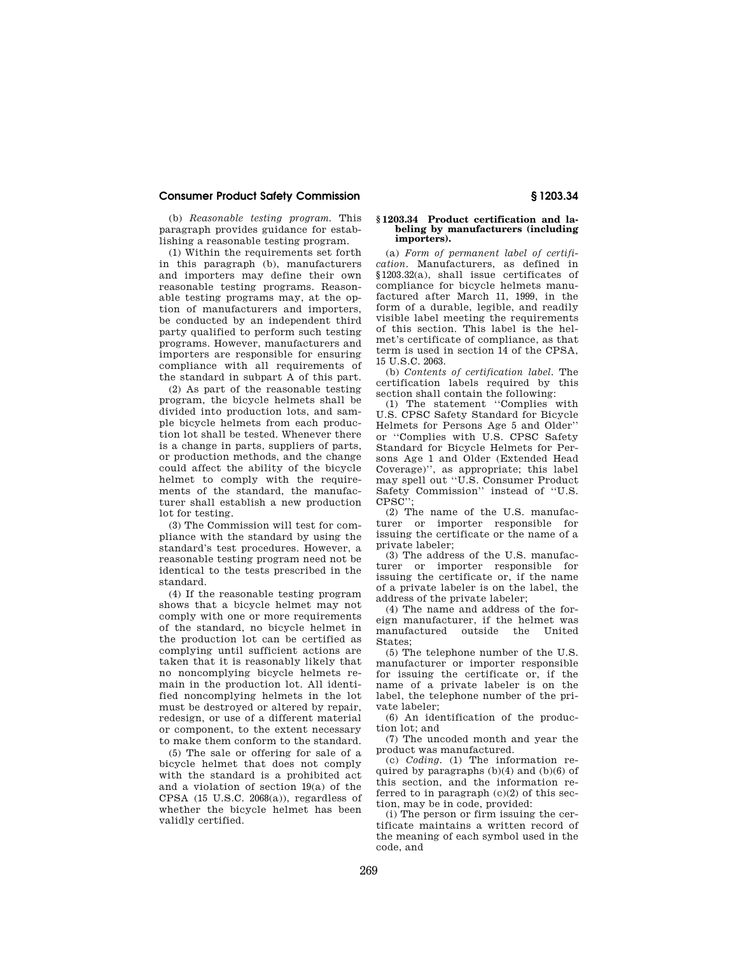(b) *Reasonable testing program.* This paragraph provides guidance for establishing a reasonable testing program.

(1) Within the requirements set forth in this paragraph (b), manufacturers and importers may define their own reasonable testing programs. Reasonable testing programs may, at the option of manufacturers and importers, be conducted by an independent third party qualified to perform such testing programs. However, manufacturers and importers are responsible for ensuring compliance with all requirements of the standard in subpart A of this part.

(2) As part of the reasonable testing program, the bicycle helmets shall be divided into production lots, and sample bicycle helmets from each production lot shall be tested. Whenever there is a change in parts, suppliers of parts, or production methods, and the change could affect the ability of the bicycle helmet to comply with the requirements of the standard, the manufacturer shall establish a new production lot for testing.

(3) The Commission will test for compliance with the standard by using the standard's test procedures. However, a reasonable testing program need not be identical to the tests prescribed in the standard.

(4) If the reasonable testing program shows that a bicycle helmet may not comply with one or more requirements of the standard, no bicycle helmet in the production lot can be certified as complying until sufficient actions are taken that it is reasonably likely that no noncomplying bicycle helmets remain in the production lot. All identified noncomplying helmets in the lot must be destroyed or altered by repair, redesign, or use of a different material or component, to the extent necessary to make them conform to the standard.

(5) The sale or offering for sale of a bicycle helmet that does not comply with the standard is a prohibited act and a violation of section 19(a) of the CPSA  $(15 \text{ U.S.C. } 2068(a))$ , regardless of whether the bicycle helmet has been validly certified.

### **§ 1203.34 Product certification and labeling by manufacturers (including importers).**

(a) *Form of permanent label of certification.* Manufacturers, as defined in §1203.32(a), shall issue certificates of compliance for bicycle helmets manufactured after March 11, 1999, in the form of a durable, legible, and readily visible label meeting the requirements of this section. This label is the helmet's certificate of compliance, as that term is used in section 14 of the CPSA, 15 U.S.C. 2063.

(b) *Contents of certification label.* The certification labels required by this section shall contain the following:

(1) The statement ''Complies with U.S. CPSC Safety Standard for Bicycle Helmets for Persons Age 5 and Older'' or ''Complies with U.S. CPSC Safety Standard for Bicycle Helmets for Persons Age 1 and Older (Extended Head Coverage)'', as appropriate; this label may spell out ''U.S. Consumer Product Safety Commission'' instead of ''U.S. CPSC'

(2) The name of the U.S. manufacturer or importer responsible for issuing the certificate or the name of a private labeler;

(3) The address of the U.S. manufacturer or importer responsible for issuing the certificate or, if the name of a private labeler is on the label, the address of the private labeler;

(4) The name and address of the foreign manufacturer, if the helmet was manufactured outside the United States;

(5) The telephone number of the U.S. manufacturer or importer responsible for issuing the certificate or, if the name of a private labeler is on the label, the telephone number of the private labeler;

(6) An identification of the production lot; and

(7) The uncoded month and year the product was manufactured.

(c) *Coding.* (1) The information required by paragraphs  $(b)(4)$  and  $(b)(6)$  of this section, and the information referred to in paragraph  $(c)(2)$  of this section, may be in code, provided:

(i) The person or firm issuing the certificate maintains a written record of the meaning of each symbol used in the code, and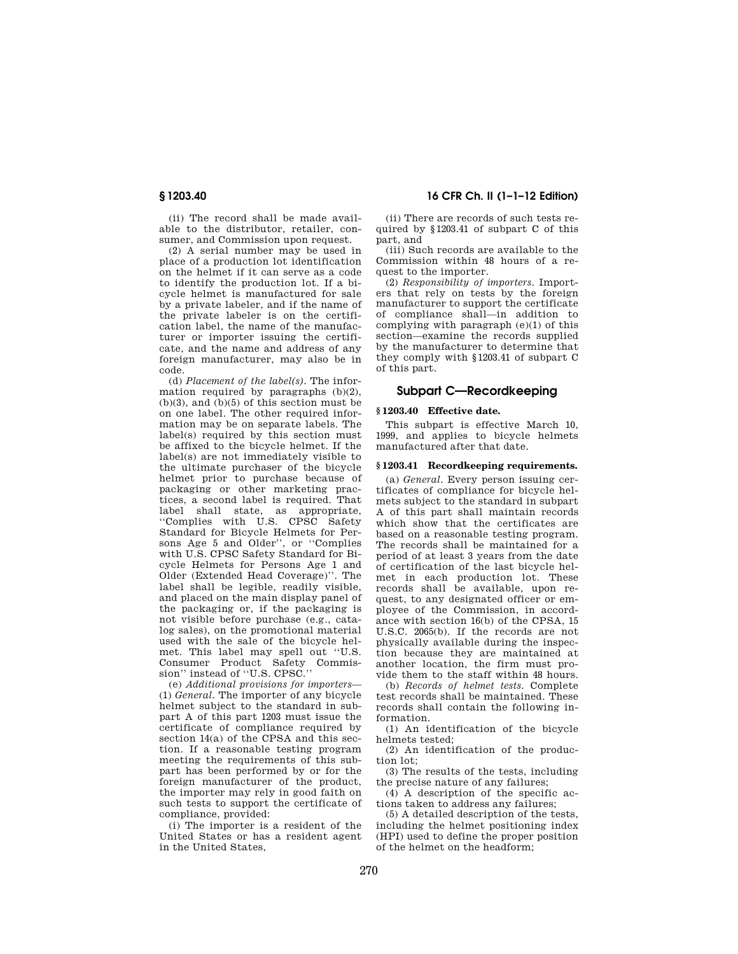(ii) The record shall be made available to the distributor, retailer, consumer, and Commission upon request.

(2) A serial number may be used in place of a production lot identification on the helmet if it can serve as a code to identify the production lot. If a bicycle helmet is manufactured for sale by a private labeler, and if the name of the private labeler is on the certification label, the name of the manufacturer or importer issuing the certificate, and the name and address of any foreign manufacturer, may also be in code.

(d) *Placement of the label(s).* The information required by paragraphs  $(b)(2)$ ,  $(b)(3)$ , and  $(b)(5)$  of this section must be on one label. The other required information may be on separate labels. The label(s) required by this section must be affixed to the bicycle helmet. If the label(s) are not immediately visible to the ultimate purchaser of the bicycle helmet prior to purchase because of packaging or other marketing practices, a second label is required. That label shall state, as appropriate, ''Complies with U.S. CPSC Safety Standard for Bicycle Helmets for Persons Age 5 and Older'', or ''Complies with U.S. CPSC Safety Standard for Bicycle Helmets for Persons Age 1 and Older (Extended Head Coverage)''. The label shall be legible, readily visible, and placed on the main display panel of the packaging or, if the packaging is not visible before purchase (e.g., catalog sales), on the promotional material used with the sale of the bicycle helmet. This label may spell out ''U.S. Consumer Product Safety Commission'' instead of ''U.S. CPSC.''

(e) *Additional provisions for importers*— (1) *General.* The importer of any bicycle helmet subject to the standard in subpart A of this part 1203 must issue the certificate of compliance required by section 14(a) of the CPSA and this section. If a reasonable testing program meeting the requirements of this subpart has been performed by or for the foreign manufacturer of the product, the importer may rely in good faith on such tests to support the certificate of compliance, provided:

(i) The importer is a resident of the United States or has a resident agent in the United States,

## **§ 1203.40 16 CFR Ch. II (1–1–12 Edition)**

(ii) There are records of such tests required by §1203.41 of subpart C of this part, and

(iii) Such records are available to the Commission within 48 hours of a request to the importer.

(2) *Responsibility of importers.* Importers that rely on tests by the foreign manufacturer to support the certificate of compliance shall—in addition to complying with paragraph (e)(1) of this section—examine the records supplied by the manufacturer to determine that they comply with §1203.41 of subpart C of this part.

## **Subpart C—Recordkeeping**

## **§ 1203.40 Effective date.**

This subpart is effective March 10, 1999, and applies to bicycle helmets manufactured after that date.

### **§ 1203.41 Recordkeeping requirements.**

(a) *General.* Every person issuing certificates of compliance for bicycle helmets subject to the standard in subpart A of this part shall maintain records which show that the certificates are based on a reasonable testing program. The records shall be maintained for a period of at least 3 years from the date of certification of the last bicycle helmet in each production lot. These records shall be available, upon request, to any designated officer or employee of the Commission, in accordance with section 16(b) of the CPSA, 15 U.S.C. 2065(b). If the records are not physically available during the inspection because they are maintained at another location, the firm must provide them to the staff within 48 hours.

(b) *Records of helmet tests.* Complete test records shall be maintained. These records shall contain the following information.

(1) An identification of the bicycle helmets tested;

(2) An identification of the production lot;

(3) The results of the tests, including the precise nature of any failures;

(4) A description of the specific actions taken to address any failures;

(5) A detailed description of the tests, including the helmet positioning index (HPI) used to define the proper position of the helmet on the headform;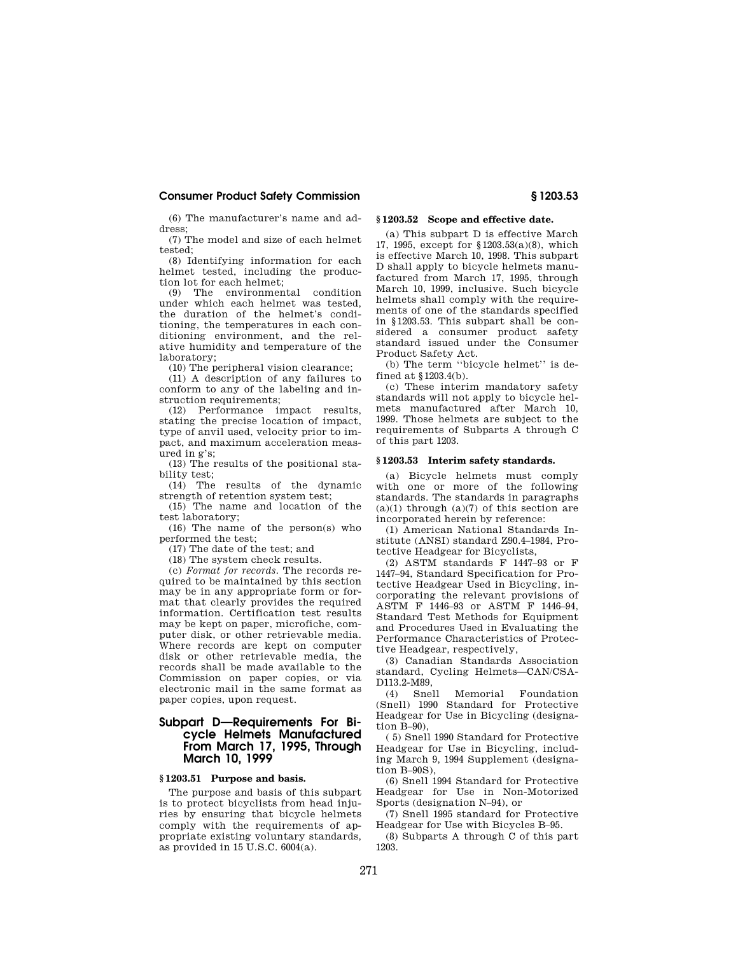(6) The manufacturer's name and address;

(7) The model and size of each helmet tested;

(8) Identifying information for each helmet tested, including the production lot for each helmet;

(9) The environmental condition under which each helmet was tested, the duration of the helmet's conditioning, the temperatures in each conditioning environment, and the relative humidity and temperature of the laboratory;

(10) The peripheral vision clearance;

(11) A description of any failures to conform to any of the labeling and instruction requirements;

(12) Performance impact results, stating the precise location of impact, type of anvil used, velocity prior to impact, and maximum acceleration measured in g's;

(13) The results of the positional stability test;

(14) The results of the dynamic strength of retention system test;

(15) The name and location of the test laboratory;

(16) The name of the person(s) who performed the test;

(17) The date of the test; and

(18) The system check results.

(c) *Format for records.* The records required to be maintained by this section may be in any appropriate form or format that clearly provides the required information. Certification test results may be kept on paper, microfiche, computer disk, or other retrievable media. Where records are kept on computer disk or other retrievable media, the records shall be made available to the Commission on paper copies, or via electronic mail in the same format as paper copies, upon request.

## **Subpart D—Requirements For Bicycle Helmets Manufactured From March 17, 1995, Through March 10, 1999**

### **§ 1203.51 Purpose and basis.**

The purpose and basis of this subpart is to protect bicyclists from head injuries by ensuring that bicycle helmets comply with the requirements of appropriate existing voluntary standards, as provided in 15 U.S.C. 6004(a).

## **§ 1203.52 Scope and effective date.**

(a) This subpart D is effective March 17, 1995, except for §1203.53(a)(8), which is effective March 10, 1998. This subpart D shall apply to bicycle helmets manufactured from March 17, 1995, through March 10, 1999, inclusive. Such bicycle helmets shall comply with the requirements of one of the standards specified in §1203.53. This subpart shall be considered a consumer product safety standard issued under the Consumer Product Safety Act.

(b) The term ''bicycle helmet'' is defined at §1203.4(b).

(c) These interim mandatory safety standards will not apply to bicycle helmets manufactured after March 10, 1999. Those helmets are subject to the requirements of Subparts A through C of this part 1203.

### **§ 1203.53 Interim safety standards.**

(a) Bicycle helmets must comply with one or more of the following standards. The standards in paragraphs  $(a)(1)$  through  $(a)(7)$  of this section are incorporated herein by reference:

(1) American National Standards Institute (ANSI) standard Z90.4–1984, Protective Headgear for Bicyclists,

(2) ASTM standards F 1447–93 or F 1447–94, Standard Specification for Protective Headgear Used in Bicycling, incorporating the relevant provisions of ASTM F 1446–93 or ASTM F 1446–94, Standard Test Methods for Equipment and Procedures Used in Evaluating the Performance Characteristics of Protective Headgear, respectively,

(3) Canadian Standards Association standard, Cycling Helmets—CAN/CSA-D113.2-M89,<br>(4) Snell

(4) Snell Memorial Foundation (Snell) 1990 Standard for Protective Headgear for Use in Bicycling (designation B–90),

( 5) Snell 1990 Standard for Protective Headgear for Use in Bicycling, including March 9, 1994 Supplement (designation B–90S),

(6) Snell 1994 Standard for Protective Headgear for Use in Non-Motorized Sports (designation N–94), or

(7) Snell 1995 standard for Protective Headgear for Use with Bicycles B–95.

(8) Subparts A through C of this part 1203.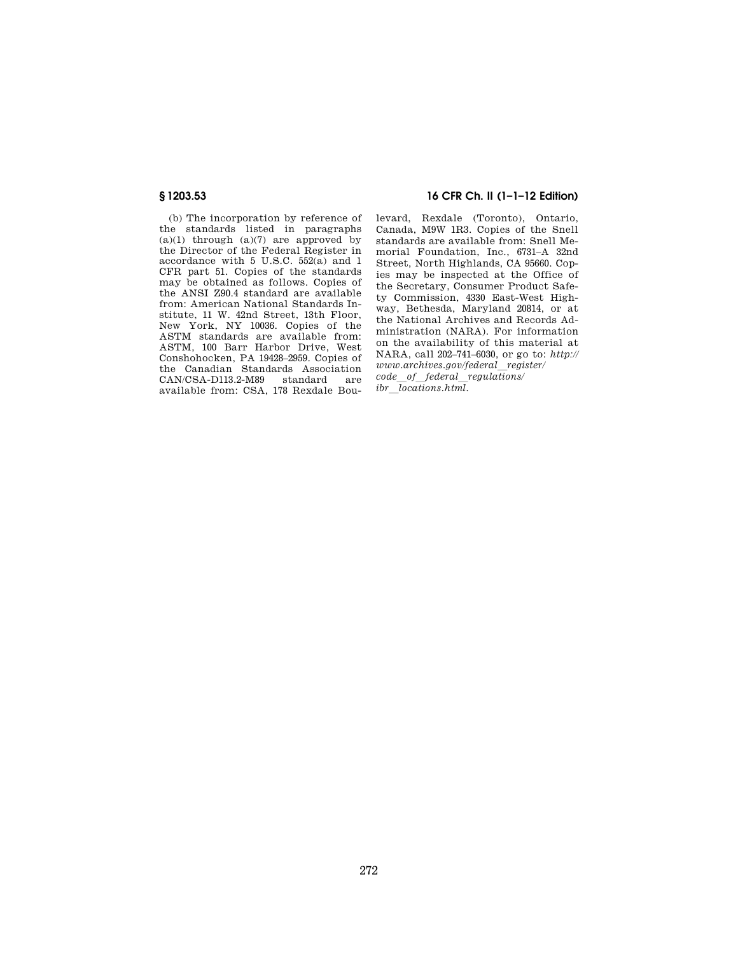(b) The incorporation by reference of the standards listed in paragraphs  $(a)(1)$  through  $(a)(7)$  are approved by the Director of the Federal Register in accordance with 5 U.S.C. 552(a) and 1 CFR part 51. Copies of the standards may be obtained as follows. Copies of the ANSI Z90.4 standard are available from: American National Standards Institute, 11 W. 42nd Street, 13th Floor, New York, NY 10036. Copies of the ASTM standards are available from: ASTM, 100 Barr Harbor Drive, West Conshohocken, PA 19428–2959. Copies of the Canadian Standards Association CAN/CSA-D113.2-M89 standard are available from: CSA, 178 Rexdale Bou-

## **§ 1203.53 16 CFR Ch. II (1–1–12 Edition)**

levard, Rexdale (Toronto), Ontario, Canada, M9W 1R3. Copies of the Snell standards are available from: Snell Memorial Foundation, Inc., 6731–A 32nd Street, North Highlands, CA 95660. Copies may be inspected at the Office of the Secretary, Consumer Product Safety Commission, 4330 East-West Highway, Bethesda, Maryland 20814, or at the National Archives and Records Administration (NARA). For information on the availability of this material at NARA, call 202–741–6030, or go to: *http:// www.archives.gov/federal*l*register/ code*l*of*l*federal*l*regulations/ ibr locations.html.*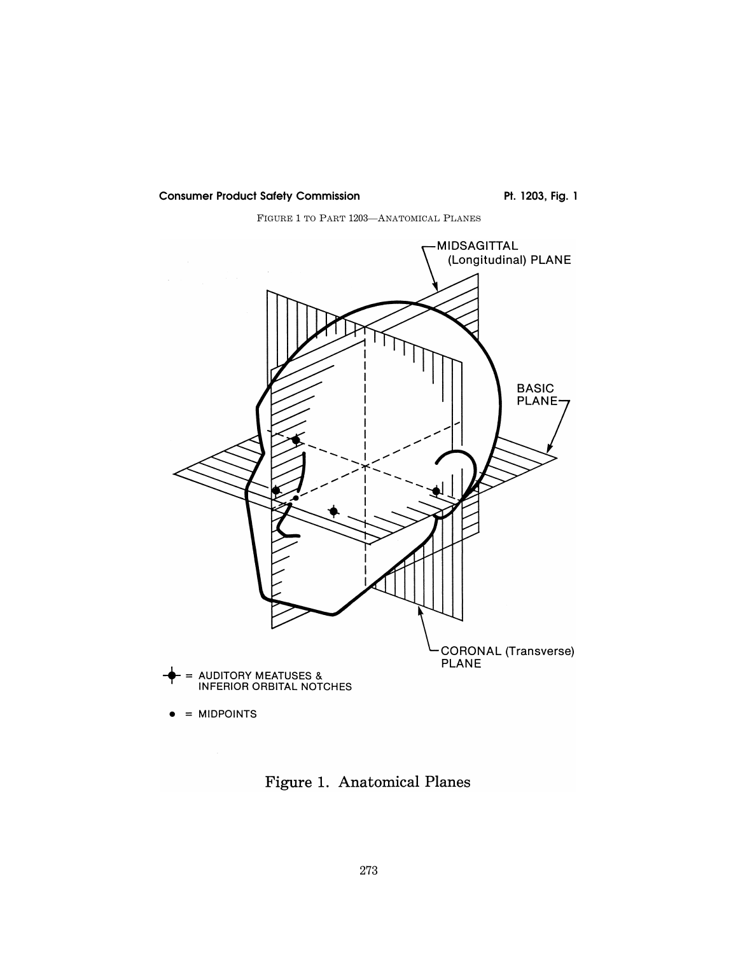FIGURE 1 TO PART 1203—ANATOMICAL PLANES



Figure 1. Anatomical Planes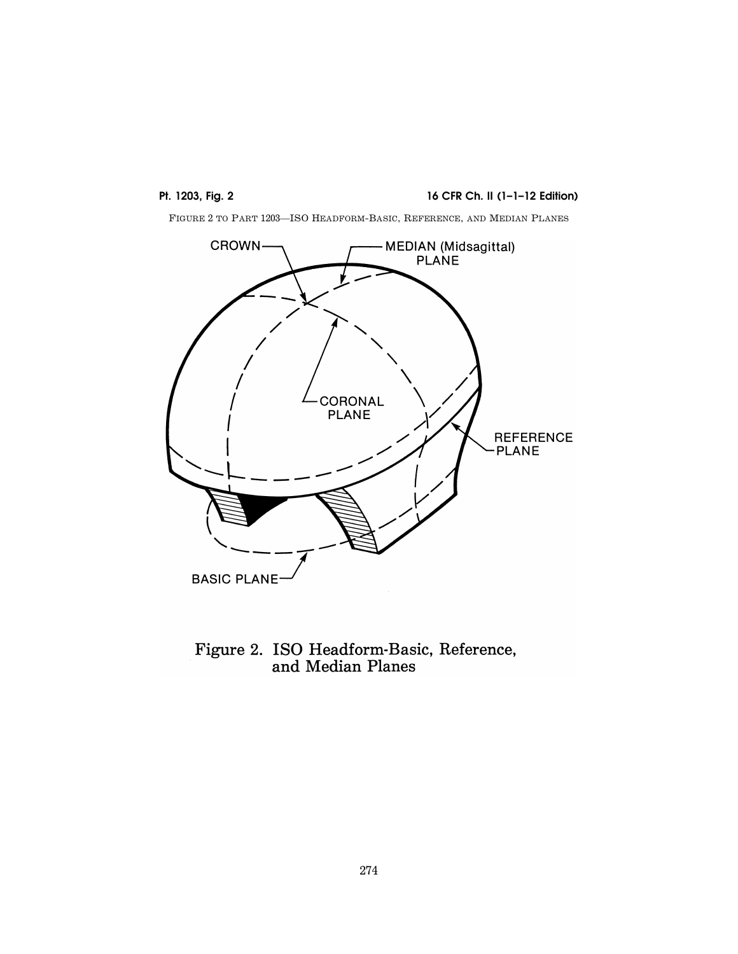# **Pt. 1203, Fig. 2 16 CFR Ch. II (1–1–12 Edition)**

FIGURE 2 TO PART 1203—ISO HEADFORM-BASIC, REFERENCE, AND MEDIAN PLANES



Figure 2. ISO Headform-Basic, Reference,<br>and Median Planes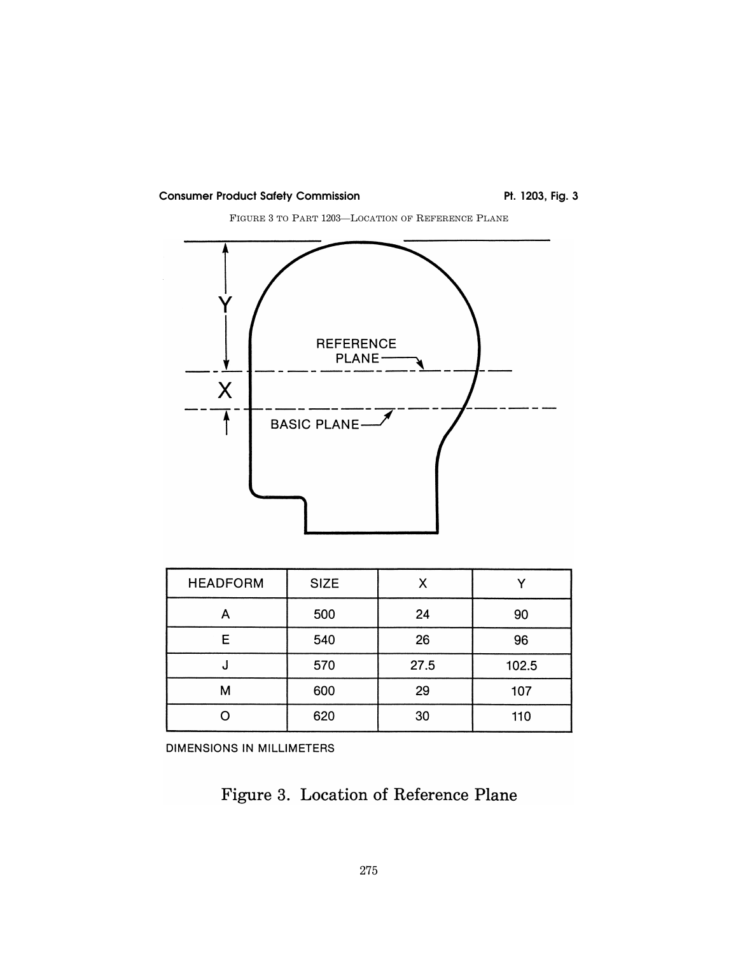

FIGURE 3 TO PART 1203—LOCATION OF REFERENCE PLANE



| <b>HEADFORM</b> | <b>SIZE</b> | χ    |       |
|-----------------|-------------|------|-------|
|                 | 500         | 24   | 90    |
| Е               | 540         | 26   | 96    |
| ω               | 570         | 27.5 | 102.5 |
| м               | 600         | 29   | 107   |
|                 | 620         | 30   | 110   |

DIMENSIONS IN MILLIMETERS

Figure 3. Location of Reference Plane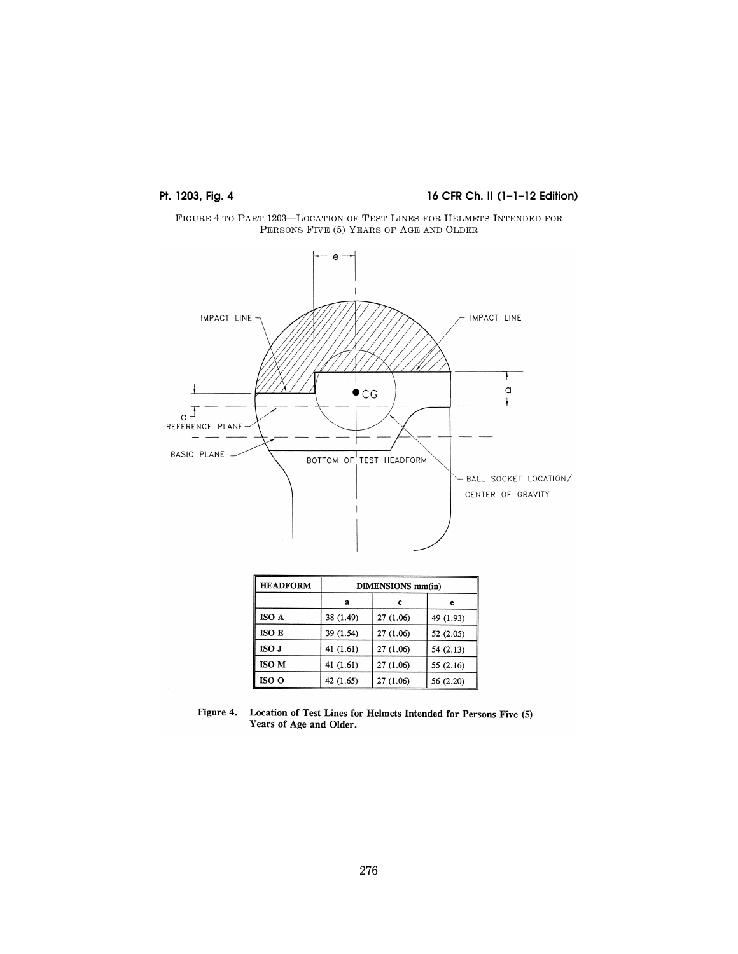# **Pt. 1203, Fig. 4** 16 CFR Ch. II (1-1-12 Edition)





| <b>HEADFORM</b> | <b>DIMENSIONS</b> mm(in) |           |           |  |  |
|-----------------|--------------------------|-----------|-----------|--|--|
|                 | a                        | c         | е         |  |  |
| ISO A           | 38 (1.49)                | 27 (1.06) | 49 (1.93) |  |  |
| ISO E           | 39 (1.54)                | 27 (1.06) | 52(2.05)  |  |  |
| ISO J           | 41 (1.61)                | 27 (1.06) | 54 (2.13) |  |  |
| <b>ISO M</b>    | 41 (1.61)                | 27 (1.06) | 55 (2.16) |  |  |
| ISO O           | 42 (1.65)                | 27(1.06)  | 56 (2.20) |  |  |

Figure 4. Location of Test Lines for Helmets Intended for Persons Five (5)<br>Years of Age and Older.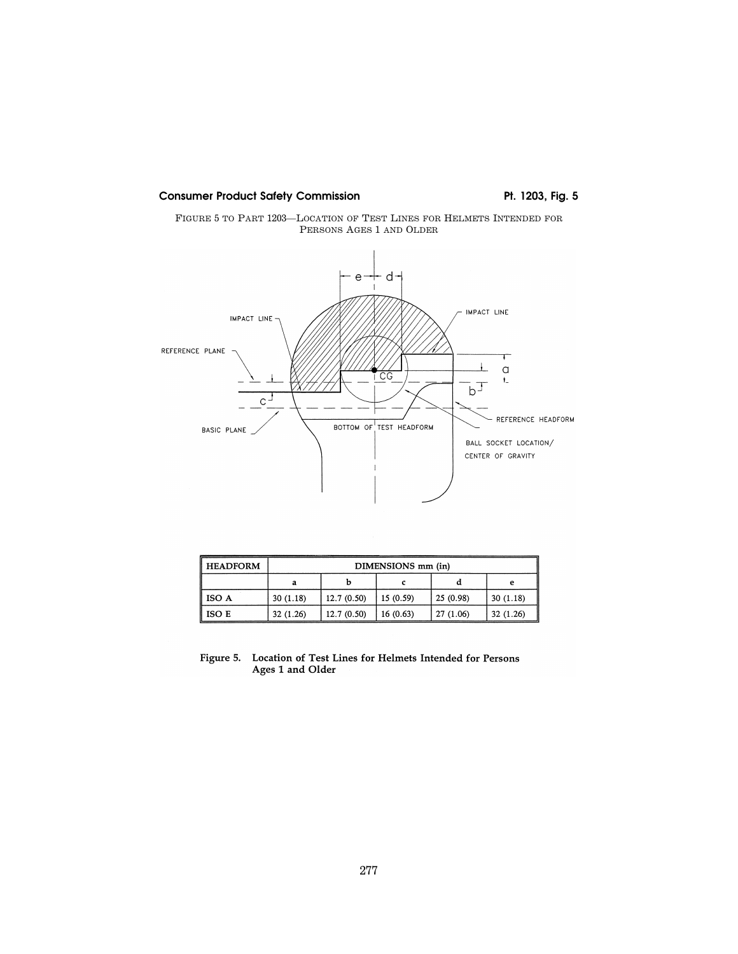



| <b>HEADFORM</b> | DIMENSIONS mm (in) |             |           |           |          |  |
|-----------------|--------------------|-------------|-----------|-----------|----------|--|
|                 |                    |             |           |           | e        |  |
| <b>ISO A</b>    | 30(1.18)           | 12.7(0.50)  | 15 (0.59) | 25(0.98)  | 30(1.18) |  |
| ISO E           | 32(1.26)           | 12.7 (0.50) | 16 (0.63) | 27 (1.06) | 32(1.26) |  |

## Figure 5. Location of Test Lines for Helmets Intended for Persons Ages 1 and Older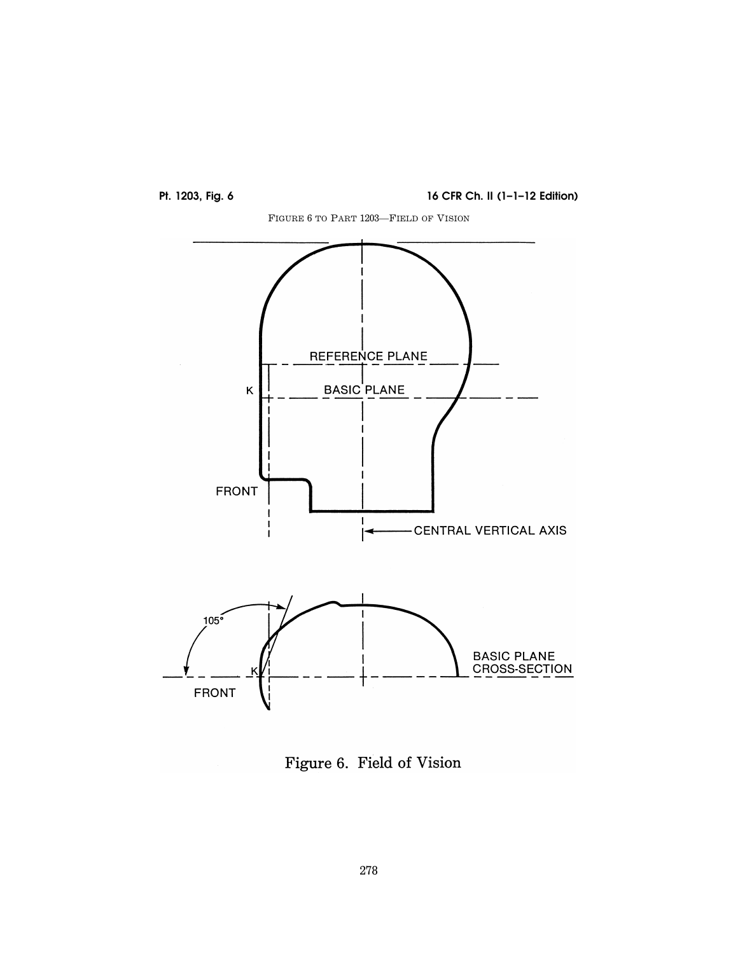

**Pt. 1203, Fig. 6 16 CFR Ch. II (1–1–12 Edition)** 



Figure 6. Field of Vision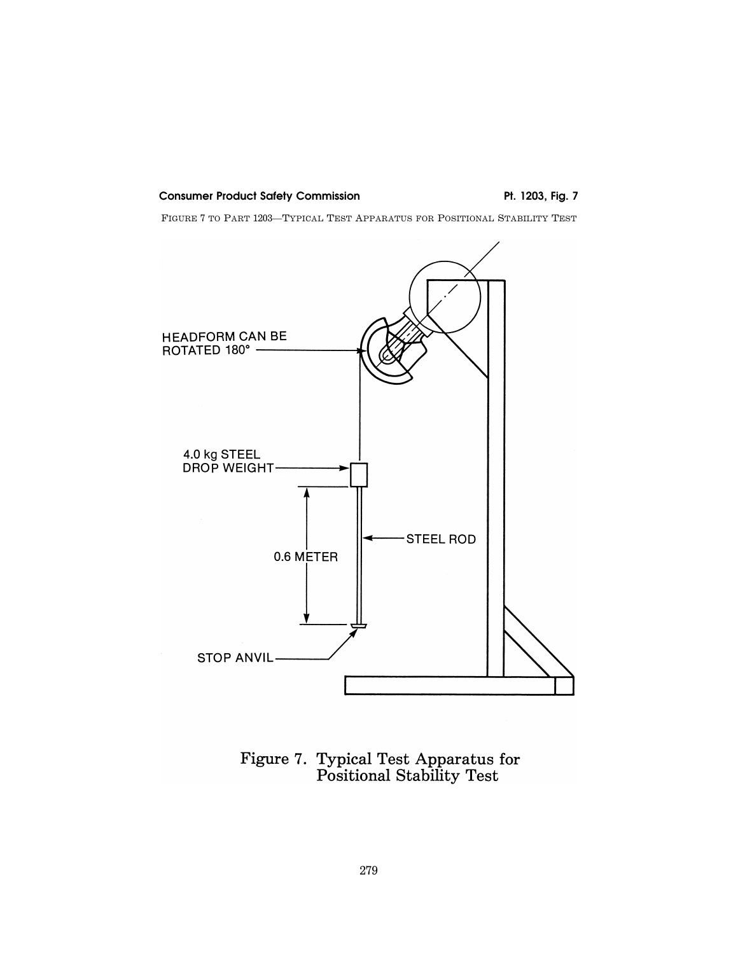FIGURE 7 TO PART 1203—TYPICAL TEST APPARATUS FOR POSITIONAL STABILITY TEST



Figure 7. Typical Test Apparatus for<br>Positional Stability Test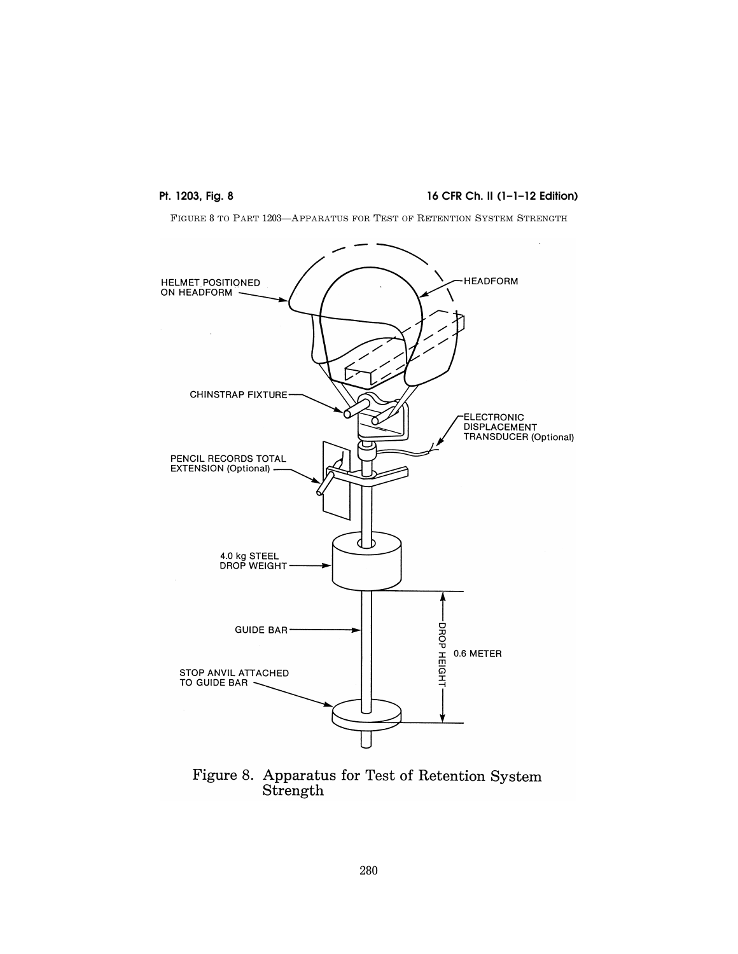## **Pt. 1203, Fig. 8** 16 CFR Ch. II (1-1-12 Edition)

FIGURE 8 TO PART 1203—APPARATUS FOR TEST OF RETENTION SYSTEM STRENGTH



Figure 8. Apparatus for Test of Retention System Strength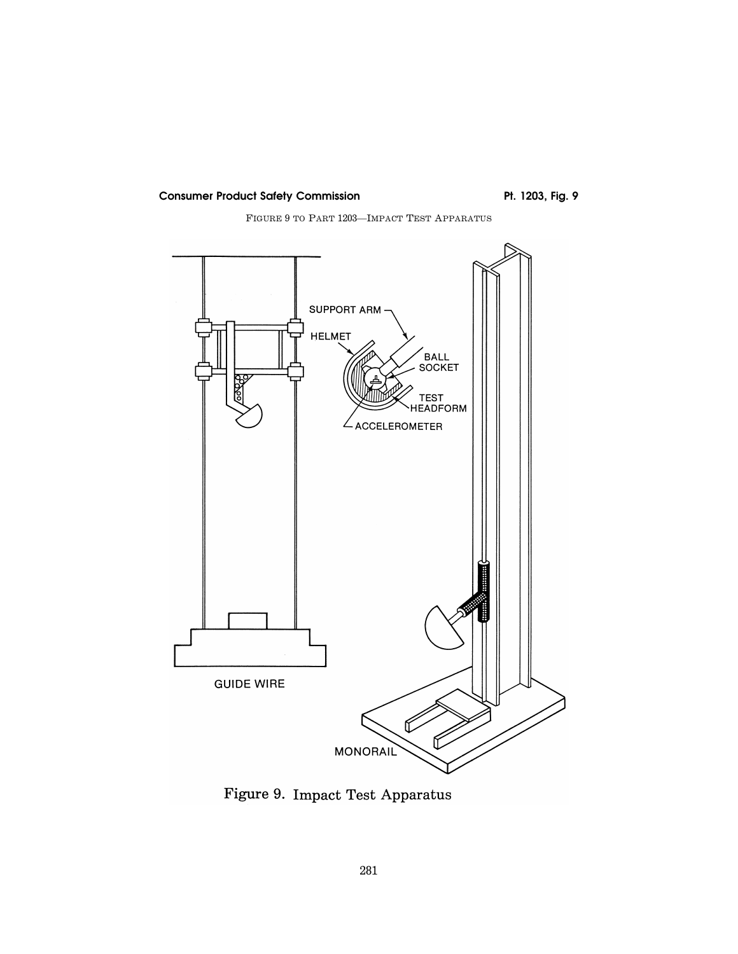FIGURE 9 TO PART 1203—IMPACT TEST APPARATUS



Figure 9. Impact Test Apparatus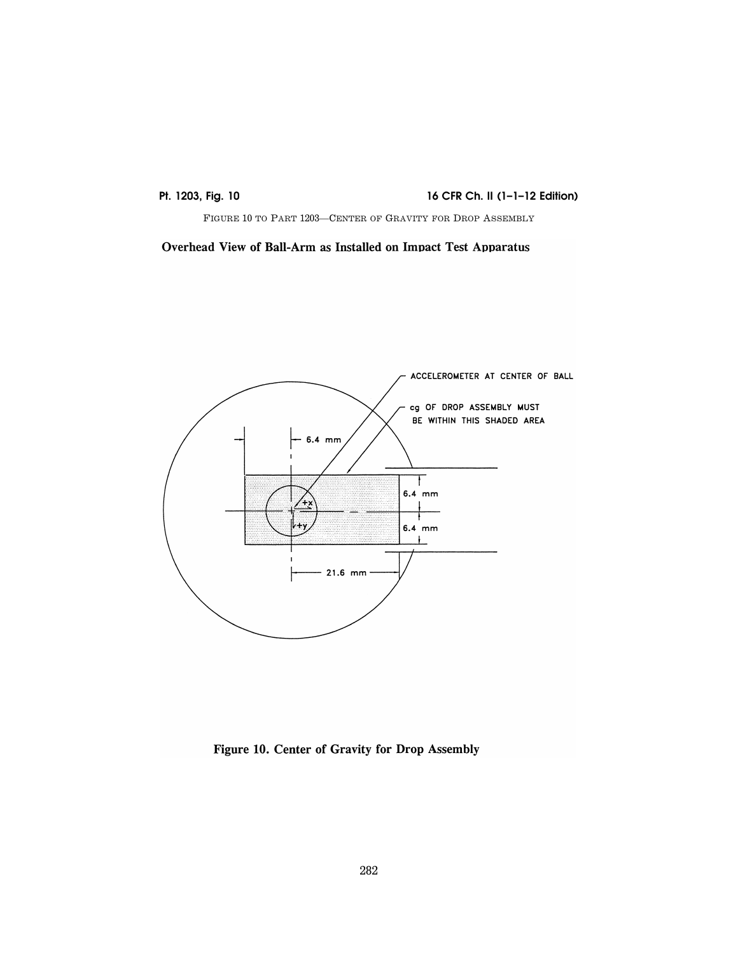**Pt. 1203, Fig. 10** 16 CFR Ch. II (1-1-12 Edition)

FIGURE 10 TO PART 1203—CENTER OF GRAVITY FOR DROP ASSEMBLY

Overhead View of Ball-Arm as Installed on Impact Test Apparatus



Figure 10. Center of Gravity for Drop Assembly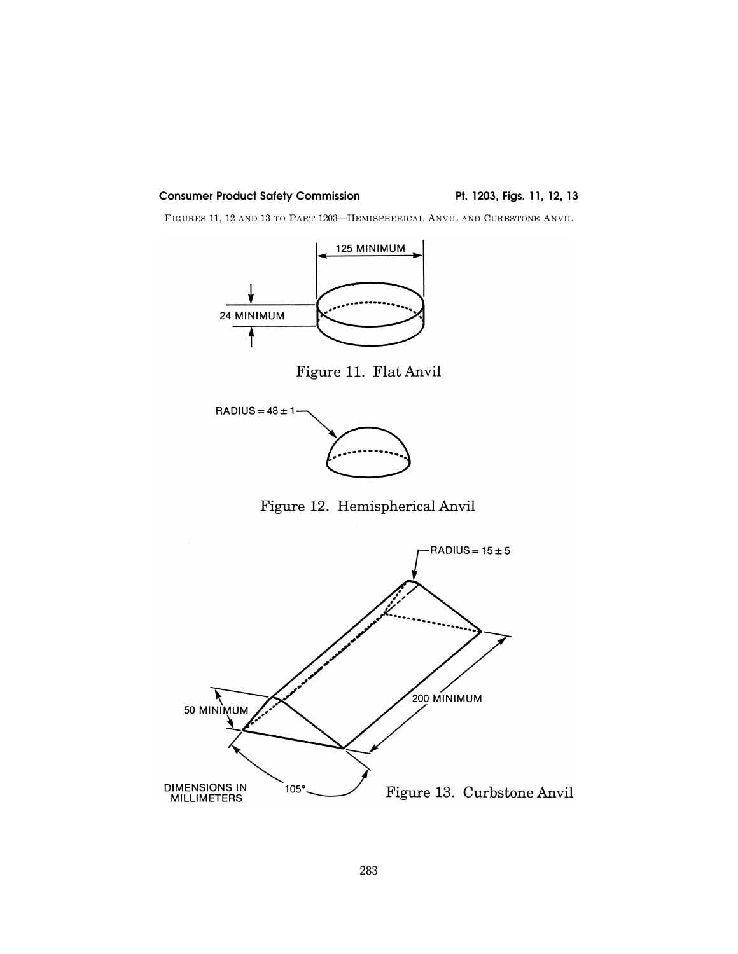FIGURES 11, 12 AND 13 TO PART 1203—HEMISPHERICAL ANVIL AND CURBSTONE ANVIL



Figure 11. Flat Anvil



Figure 12. Hemispherical Anvil